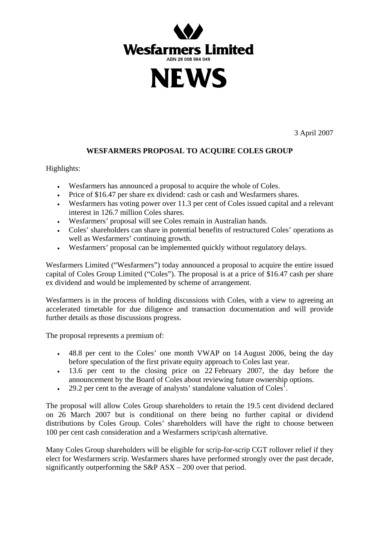



3 April 2007

## **WESFARMERS PROPOSAL TO ACQUIRE COLES GROUP**

Highlights:

- Wesfarmers has announced a proposal to acquire the whole of Coles.
- Price of \$16.47 per share ex dividend: cash or cash and Wesfarmers shares.
- Wesfarmers has voting power over 11.3 per cent of Coles issued capital and a relevant interest in 126.7 million Coles shares.
- Wesfarmers' proposal will see Coles remain in Australian hands.
- Coles' shareholders can share in potential benefits of restructured Coles' operations as well as Wesfarmers' continuing growth.
- Wesfarmers' proposal can be implemented quickly without regulatory delays.

Wesfarmers Limited ("Wesfarmers") today announced a proposal to acquire the entire issued capital of Coles Group Limited ("Coles"). The proposal is at a price of \$16.47 cash per share ex dividend and would be implemented by scheme of arrangement.

Wesfarmers is in the process of holding discussions with Coles, with a view to agreeing an accelerated timetable for due diligence and transaction documentation and will provide further details as those discussions progress.

The proposal represents a premium of:

- 48.8 per cent to the Coles' one month VWAP on 14 August 2006, being the day before speculation of the first private equity approach to Coles last year.
- 13.6 per cent to the closing price on 22 February 2007, the day before the announcement by the Board of Coles about reviewing future ownership options.
- $\cdot$  29.2 per cent to the average of analysts' standalone valuation of Coles<sup>1</sup>.

The proposal will allow Coles Group shareholders to retain the 19.5 cent dividend declared on 26 March 2007 but is conditional on there being no further capital or dividend distributions by Coles Group. Coles' shareholders will have the right to choose between 100 per cent cash consideration and a Wesfarmers scrip/cash alternative.

Many Coles Group shareholders will be eligible for scrip-for-scrip CGT rollover relief if they elect for Wesfarmers scrip. Wesfarmers shares have performed strongly over the past decade, significantly outperforming the S&P ASX – 200 over that period.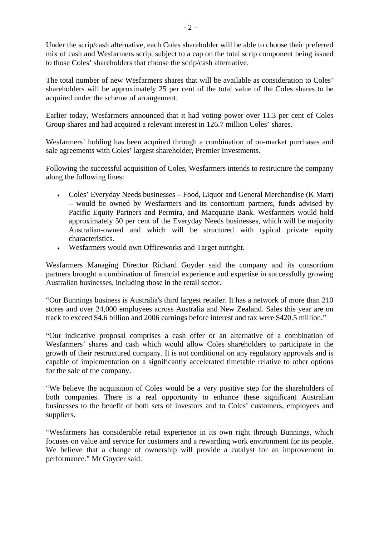Under the scrip/cash alternative, each Coles shareholder will be able to choose their preferred mix of cash and Wesfarmers scrip, subject to a cap on the total scrip component being issued to those Coles' shareholders that choose the scrip/cash alternative.

The total number of new Wesfarmers shares that will be available as consideration to Coles' shareholders will be approximately 25 per cent of the total value of the Coles shares to be acquired under the scheme of arrangement.

Earlier today, Wesfarmers announced that it had voting power over 11.3 per cent of Coles Group shares and had acquired a relevant interest in 126.7 million Coles' shares.

Wesfarmers' holding has been acquired through a combination of on-market purchases and sale agreements with Coles' largest shareholder, Premier Investments.

Following the successful acquisition of Coles, Wesfarmers intends to restructure the company along the following lines:

- Coles' Everyday Needs businesses Food, Liquor and General Merchandise (K Mart) – would be owned by Wesfarmers and its consortium partners, funds advised by Pacific Equity Partners and Permira, and Macquarie Bank. Wesfarmers would hold approximately 50 per cent of the Everyday Needs businesses, which will be majority Australian-owned and which will be structured with typical private equity characteristics.
- Wesfarmers would own Officeworks and Target outright.

Wesfarmers Managing Director Richard Goyder said the company and its consortium partners brought a combination of financial experience and expertise in successfully growing Australian businesses, including those in the retail sector.

"Our Bunnings business is Australia's third largest retailer. It has a network of more than 210 stores and over 24,000 employees across Australia and New Zealand. Sales this year are on track to exceed \$4.6 billion and 2006 earnings before interest and tax were \$420.5 million."

"Our indicative proposal comprises a cash offer or an alternative of a combination of Wesfarmers' shares and cash which would allow Coles shareholders to participate in the growth of their restructured company. It is not conditional on any regulatory approvals and is capable of implementation on a significantly accelerated timetable relative to other options for the sale of the company.

"We believe the acquisition of Coles would be a very positive step for the shareholders of both companies. There is a real opportunity to enhance these significant Australian businesses to the benefit of both sets of investors and to Coles' customers, employees and suppliers.

"Wesfarmers has considerable retail experience in its own right through Bunnings, which focuses on value and service for customers and a rewarding work environment for its people. We believe that a change of ownership will provide a catalyst for an improvement in performance." Mr Goyder said.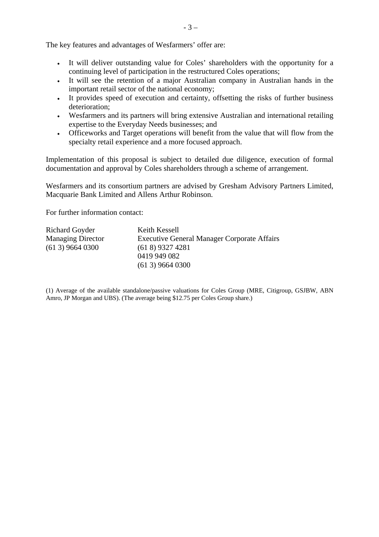The key features and advantages of Wesfarmers' offer are:

- It will deliver outstanding value for Coles' shareholders with the opportunity for a continuing level of participation in the restructured Coles operations;
- It will see the retention of a major Australian company in Australian hands in the important retail sector of the national economy;
- It provides speed of execution and certainty, offsetting the risks of further business deterioration;
- Wesfarmers and its partners will bring extensive Australian and international retailing expertise to the Everyday Needs businesses; and
- Officeworks and Target operations will benefit from the value that will flow from the specialty retail experience and a more focused approach.

Implementation of this proposal is subject to detailed due diligence, execution of formal documentation and approval by Coles shareholders through a scheme of arrangement.

Wesfarmers and its consortium partners are advised by Gresham Advisory Partners Limited, Macquarie Bank Limited and Allens Arthur Robinson.

For further information contact:

| Richard Goyder           | Keith Kessell                                      |
|--------------------------|----------------------------------------------------|
| <b>Managing Director</b> | <b>Executive General Manager Corporate Affairs</b> |
| $(613)$ 9664 0300        | $(618)$ 9327 4281                                  |
|                          | 0419 949 082                                       |
|                          | $(613)$ 9664 0300                                  |

(1) Average of the available standalone/passive valuations for Coles Group (MRE, Citigroup, GSJBW, ABN Amro, JP Morgan and UBS). (The average being \$12.75 per Coles Group share.)